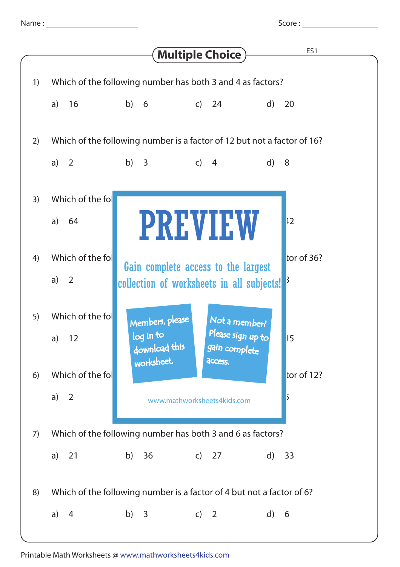| vame |  |  |  |
|------|--|--|--|
|      |  |  |  |
|      |  |  |  |